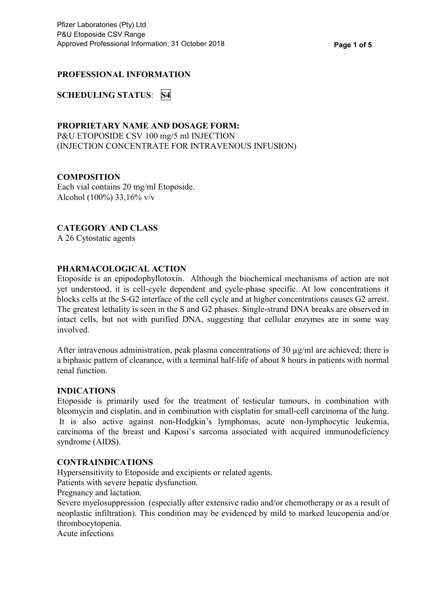# **PROFESSIONAL INFORMATION**

**SCHEDULING STATUS**: **S4**

### **PROPRIETARY NAME AND DOSAGE FORM:**

P&U ETOPOSIDE CSV 100 mg/5 ml INJECTION (INJECTION CONCENTRATE FOR INTRAVENOUS INFUSION)

# **COMPOSITION**

Each vial contains 20 mg/ml Etoposide. Alcohol (100%) 33,16% v/v

# **CATEGORY AND CLASS**

A 26 Cytostatic agents

### **PHARMACOLOGICAL ACTION**

Etoposide is an epipodophyllotoxin. Although the biochemical mechanisms of action are not yet understood, it is cell-cycle dependent and cycle-phase specific. At low concentrations it blocks cells at the S-G2 interface of the cell cycle and at higher concentrations causes G2 arrest. The greatest lethality is seen in the S and G2 phases. Single-strand DNA breaks are observed in intact cells, but not with purified DNA, suggesting that cellular enzymes are in some way involved.

After intravenous administration, peak plasma concentrations of 30 µg/ml are achieved; there is a biphasic pattern of clearance, with a terminal half-life of about 8 hours in patients with normal renal function.

#### **INDICATIONS**

Etoposide is primarily used for the treatment of testicular tumours, in combination with bleomycin and cisplatin, and in combination with cisplatin for small-cell carcinoma of the lung. It is also active against non-Hodgkin's lymphomas, acute non-lymphocytic leukemia, carcinoma of the breast and Kaposi's sarcoma associated with acquired immunodeficiency syndrome (AIDS).

#### **CONTRAINDICATIONS**

Hypersensitivity to Etoposide and excipients or related agents.

Patients with severe hepatic dysfunction.

Pregnancy and lactation.

Severe myelosuppression (especially after extensive radio and/or chemotherapy or as a result of neoplastic infiltration). This condition may be evidenced by mild to marked leucopenia and/or thrombocytopenia.

Acute infections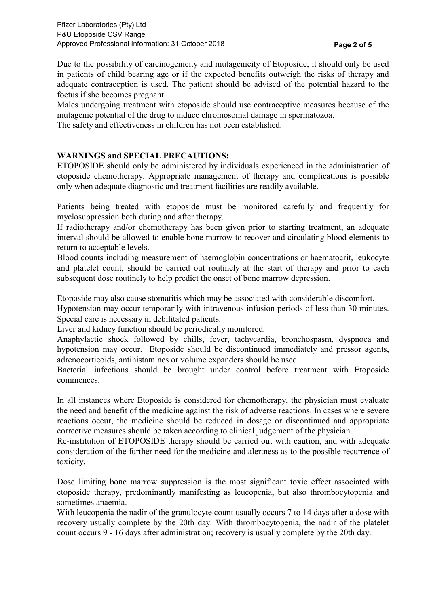Due to the possibility of carcinogenicity and mutagenicity of Etoposide, it should only be used in patients of child bearing age or if the expected benefits outweigh the risks of therapy and adequate contraception is used. The patient should be advised of the potential hazard to the foetus if she becomes pregnant.

Males undergoing treatment with etoposide should use contraceptive measures because of the mutagenic potential of the drug to induce chromosomal damage in spermatozoa.

The safety and effectiveness in children has not been established.

# **WARNINGS and SPECIAL PRECAUTIONS:**

ETOPOSIDE should only be administered by individuals experienced in the administration of etoposide chemotherapy. Appropriate management of therapy and complications is possible only when adequate diagnostic and treatment facilities are readily available.

Patients being treated with etoposide must be monitored carefully and frequently for myelosuppression both during and after therapy.

If radiotherapy and/or chemotherapy has been given prior to starting treatment, an adequate interval should be allowed to enable bone marrow to recover and circulating blood elements to return to acceptable levels.

Blood counts including measurement of haemoglobin concentrations or haematocrit, leukocyte and platelet count, should be carried out routinely at the start of therapy and prior to each subsequent dose routinely to help predict the onset of bone marrow depression.

Etoposide may also cause stomatitis which may be associated with considerable discomfort.

Hypotension may occur temporarily with intravenous infusion periods of less than 30 minutes. Special care is necessary in debilitated patients.

Liver and kidney function should be periodically monitored.

Anaphylactic shock followed by chills, fever, tachycardia, bronchospasm, dyspnoea and hypotension may occur. Etoposide should be discontinued immediately and pressor agents, adrenocorticoids, antihistamines or volume expanders should be used.

Bacterial infections should be brought under control before treatment with Etoposide commences.

In all instances where Etoposide is considered for chemotherapy, the physician must evaluate the need and benefit of the medicine against the risk of adverse reactions. In cases where severe reactions occur, the medicine should be reduced in dosage or discontinued and appropriate corrective measures should be taken according to clinical judgement of the physician.

Re-institution of ETOPOSIDE therapy should be carried out with caution, and with adequate consideration of the further need for the medicine and alertness as to the possible recurrence of toxicity.

Dose limiting bone marrow suppression is the most significant toxic effect associated with etoposide therapy, predominantly manifesting as leucopenia, but also thrombocytopenia and sometimes anaemia.

With leucopenia the nadir of the granulocyte count usually occurs 7 to 14 days after a dose with recovery usually complete by the 20th day. With thrombocytopenia, the nadir of the platelet count occurs 9 - 16 days after administration; recovery is usually complete by the 20th day.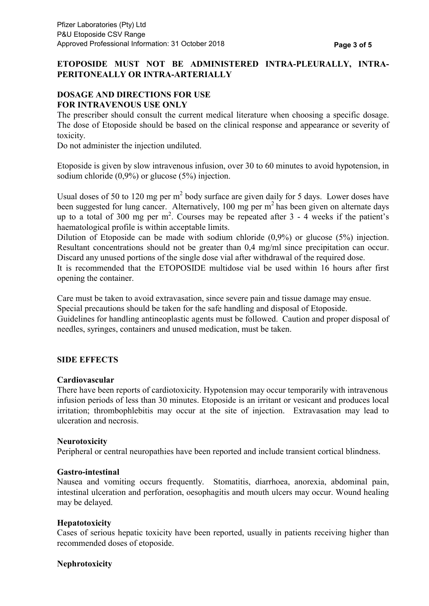# **ETOPOSIDE MUST NOT BE ADMINISTERED INTRA-PLEURALLY, INTRA-PERITONEALLY OR INTRA-ARTERIALLY**

# **DOSAGE AND DIRECTIONS FOR USE FOR INTRAVENOUS USE ONLY**

The prescriber should consult the current medical literature when choosing a specific dosage. The dose of Etoposide should be based on the clinical response and appearance or severity of toxicity.

Do not administer the injection undiluted.

Etoposide is given by slow intravenous infusion, over 30 to 60 minutes to avoid hypotension, in sodium chloride (0,9%) or glucose (5%) injection.

Usual doses of 50 to 120 mg per  $m^2$  body surface are given daily for 5 days. Lower doses have been suggested for lung cancer. Alternatively, 100 mg per m<sup>2</sup> has been given on alternate days up to a total of 300 mg per m 2 . Courses may be repeated after 3 - 4 weeks if the patient's haematological profile is within acceptable limits.

Dilution of Etoposide can be made with sodium chloride (0,9%) or glucose (5%) injection. Resultant concentrations should not be greater than 0,4 mg/ml since precipitation can occur. Discard any unused portions of the single dose vial after withdrawal of the required dose.

It is recommended that the ETOPOSIDE multidose vial be used within 16 hours after first opening the container.

Care must be taken to avoid extravasation, since severe pain and tissue damage may ensue.

Special precautions should be taken for the safe handling and disposal of Etoposide.

Guidelines for handling antineoplastic agents must be followed. Caution and proper disposal of needles, syringes, containers and unused medication, must be taken.

# **SIDE EFFECTS**

#### **Cardiovascular**

There have been reports of cardiotoxicity. Hypotension may occur temporarily with intravenous infusion periods of less than 30 minutes. Etoposide is an irritant or vesicant and produces local irritation; thrombophlebitis may occur at the site of injection. Extravasation may lead to ulceration and necrosis.

# **Neurotoxicity**

Peripheral or central neuropathies have been reported and include transient cortical blindness.

#### **Gastro-intestinal**

Nausea and vomiting occurs frequently. Stomatitis, diarrhoea, anorexia, abdominal pain, intestinal ulceration and perforation, oesophagitis and mouth ulcers may occur. Wound healing may be delayed.

#### **Hepatotoxicity**

Cases of serious hepatic toxicity have been reported, usually in patients receiving higher than recommended doses of etoposide.

# **Nephrotoxicity**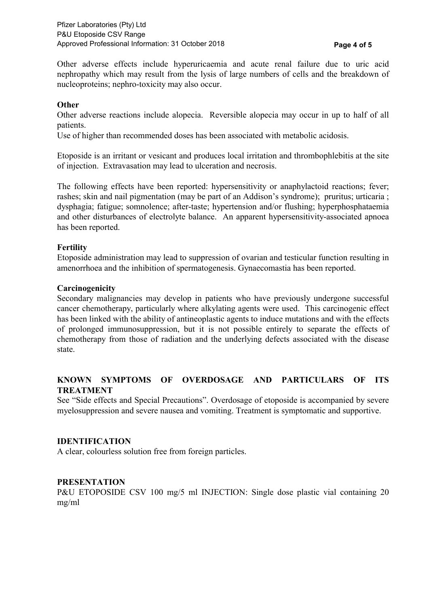Other adverse effects include hyperuricaemia and acute renal failure due to uric acid nephropathy which may result from the lysis of large numbers of cells and the breakdown of nucleoproteins; nephro-toxicity may also occur.

### **Other**

Other adverse reactions include alopecia. Reversible alopecia may occur in up to half of all patients.

Use of higher than recommended doses has been associated with metabolic acidosis.

Etoposide is an irritant or vesicant and produces local irritation and thrombophlebitis at the site of injection. Extravasation may lead to ulceration and necrosis.

The following effects have been reported: hypersensitivity or anaphylactoid reactions; fever; rashes; skin and nail pigmentation (may be part of an Addison's syndrome); pruritus; urticaria ; dysphagia; fatigue; somnolence; after-taste; hypertension and/or flushing; hyperphosphataemia and other disturbances of electrolyte balance. An apparent hypersensitivity-associated apnoea has been reported.

### **Fertility**

Etoposide administration may lead to suppression of ovarian and testicular function resulting in amenorrhoea and the inhibition of spermatogenesis. Gynaecomastia has been reported.

#### **Carcinogenicity**

Secondary malignancies may develop in patients who have previously undergone successful cancer chemotherapy, particularly where alkylating agents were used. This carcinogenic effect has been linked with the ability of antineoplastic agents to induce mutations and with the effects of prolonged immunosuppression, but it is not possible entirely to separate the effects of chemotherapy from those of radiation and the underlying defects associated with the disease state.

### **KNOWN SYMPTOMS OF OVERDOSAGE AND PARTICULARS OF ITS TREATMENT**

See "Side effects and Special Precautions". Overdosage of etoposide is accompanied by severe myelosuppression and severe nausea and vomiting. Treatment is symptomatic and supportive.

#### **IDENTIFICATION**

A clear, colourless solution free from foreign particles.

#### **PRESENTATION**

P&U ETOPOSIDE CSV 100 mg/5 ml INJECTION: Single dose plastic vial containing 20 mg/ml